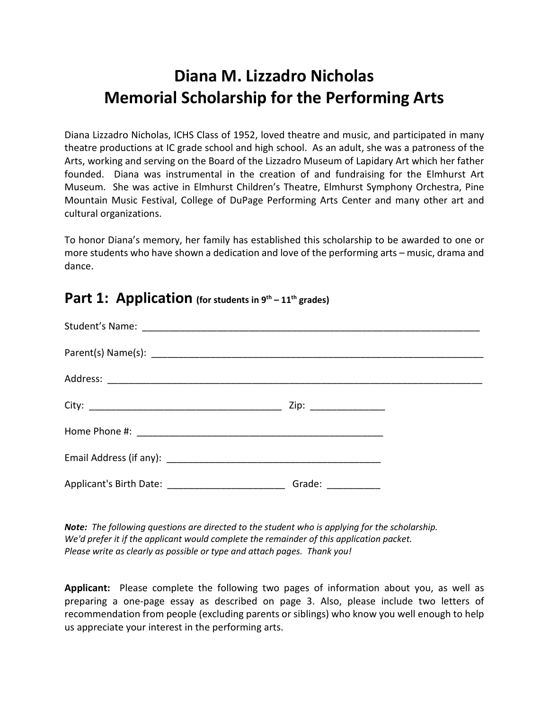# **Diana M. Lizzadro Nicholas Memorial Scholarship for the Performing Arts**

Diana Lizzadro Nicholas, ICHS Class of 1952, loved theatre and music, and participated in many theatre productions at IC grade school and high school. As an adult, she was a patroness of the Arts, working and serving on the Board of the Lizzadro Museum of Lapidary Art which her father founded. Diana was instrumental in the creation of and fundraising for the Elmhurst Art Museum. She was active in Elmhurst Children's Theatre, Elmhurst Symphony Orchestra, Pine Mountain Music Festival, College of DuPage Performing Arts Center and many other art and cultural organizations.

To honor Diana's memory, her family has established this scholarship to be awarded to one or more students who have shown a dedication and love of the performing arts – music, drama and dance.

| Grade: $\frac{1}{\sqrt{1-\frac{1}{2}}\cdot\frac{1}{2}}$ |
|---------------------------------------------------------|

#### **Part 1: Application (for students in 9th – 11th grades)**

*Note: The following questions are directed to the student who is applying for the scholarship. We'd prefer it if the applicant would complete the remainder of this application packet. Please write as clearly as possible or type and attach pages. Thank you!*

**Applicant:** Please complete the following two pages of information about you, as well as preparing a one-page essay as described on page 3. Also, please include two letters of recommendation from people (excluding parents or siblings) who know you well enough to help us appreciate your interest in the performing arts.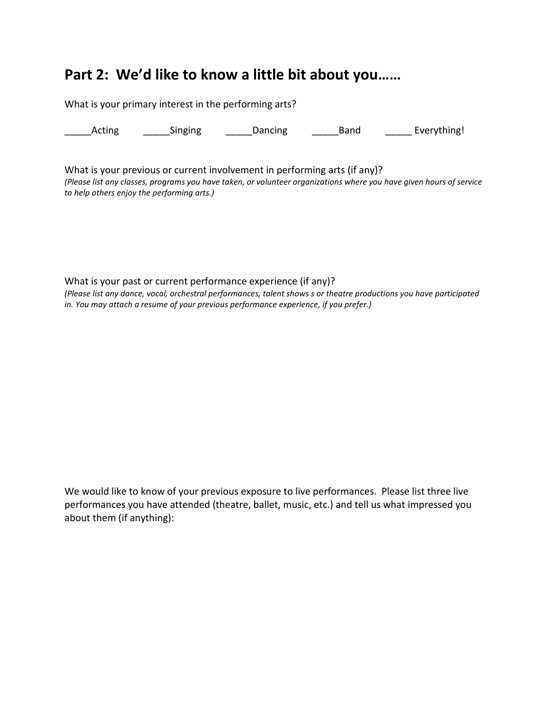### **Part 2: We'd like to know a little bit about you……**

What is your primary interest in the performing arts? Acting Singing Dancing Band Everything! What is your previous or current involvement in performing arts (if any)?

*(Please list any classes, programs you have taken, or volunteer organizations where you have given hours of service to help others enjoy the performing arts.)*

What is your past or current performance experience (if any)? *(Please list any dance, vocal, orchestral performances, talent shows s or theatre productions you have participated in. You may attach a resume of your previous performance experience, if you prefer.)*

We would like to know of your previous exposure to live performances. Please list three live performances you have attended (theatre, ballet, music, etc.) and tell us what impressed you about them (if anything):